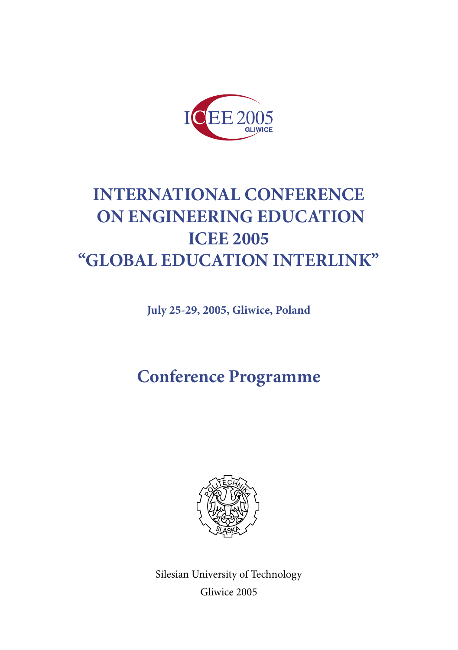

# **INTERNATIONAL CONFERENCE ON ENGINEERING EDUCATION ICEE 2005 "GLOBAL EDUCATION INTERLINK"**

**July 25-29, 2005, Gliwice, Poland**

**Conference Programme**



Silesian University of Technology Gliwice 2005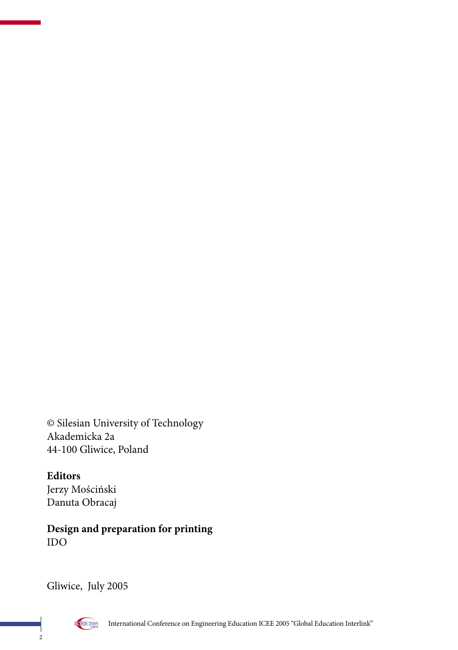© Silesian University of Technology Akademicka 2a 44-100 Gliwice, Poland

**Editors** Jerzy Mościński Danuta Obracaj

**Design and preparation for printing** IDO

Gliwice, July 2005

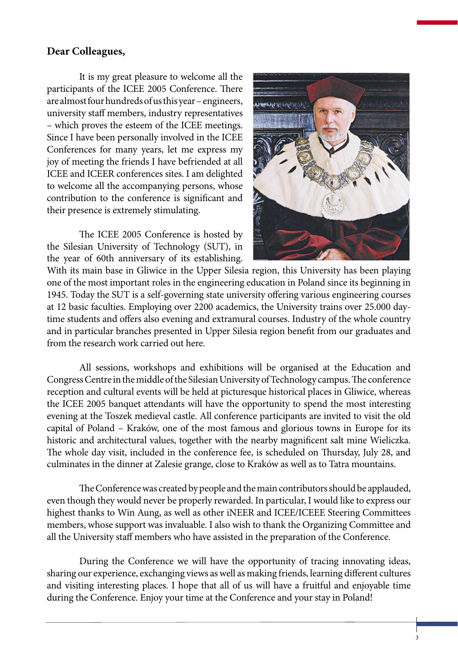#### **Dear Colleagues,**

It is my great pleasure to welcome all the participants of the ICEE 2005 Conference. There are almost four hundreds of us this year – engineers, university staff members, industry representatives – which proves the esteem of the ICEE meetings. Since I have been personally involved in the ICEE Conferences for many years, let me express my joy of meeting the friends I have befriended at all ICEE and ICEER conferences sites. I am delighted to welcome all the accompanying persons, whose contribution to the conference is significant and their presence is extremely stimulating.

The ICEE 2005 Conference is hosted by the Silesian University of Technology (SUT), in the year of 60th anniversary of its establishing.



With its main base in Gliwice in the Upper Silesia region, this University has been playing one of the most important roles in the engineering education in Poland since its beginning in 1945. Today the SUT is a self-governing state university offering various engineering courses at 12 basic faculties. Employing over 2200 academics, the University trains over 25.000 daytime students and offers also evening and extramural courses. Industry of the whole country and in particular branches presented in Upper Silesia region benefit from our graduates and from the research work carried out here.

All sessions, workshops and exhibitions will be organised at the Education and Congress Centre in the middle of the Silesian University of Technology campus. The conference reception and cultural events will be held at picturesque historical places in Gliwice, whereas the ICEE 2005 banquet attendants will have the opportunity to spend the most interesting evening at the Toszek medieval castle. All conference participants are invited to visit the old capital of Poland – Kraków, one of the most famous and glorious towns in Europe for its historic and architectural values, together with the nearby magnificent salt mine Wieliczka. The whole day visit, included in the conference fee, is scheduled on Thursday, July 28, and culminates in the dinner at Zalesie grange, close to Kraków as well as to Tatra mountains.

The Conference was created by people and the main contributors should be applauded, even though they would never be properly rewarded. In particular, I would like to express our highest thanks to Win Aung, as well as other iNEER and ICEE/ICEEE Steering Committees members, whose support was invaluable. I also wish to thank the Organizing Committee and all the University staff members who have assisted in the preparation of the Conference.

During the Conference we will have the opportunity of tracing innovating ideas, sharing our experience, exchanging views as well as making friends, learning different cultures and visiting interesting places. I hope that all of us will have a fruitful and enjoyable time during the Conference. Enjoy your time at the Conference and your stay in Poland!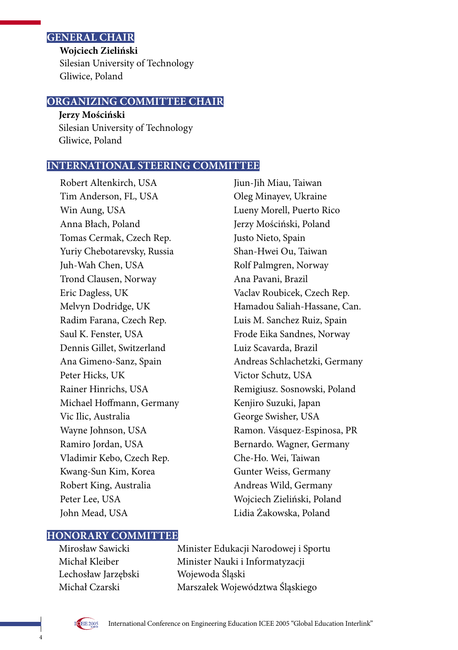#### **GENERAL CHAIR**

**Wojciech Zieliński** Silesian University of Technology Gliwice, Poland

#### **ORGANIZING COMMITTEE CHAIR**

**Jerzy Mościński** Silesian University of Technology Gliwice, Poland

#### **INTERNATIONAL STEERING COMMITTEE**

Robert Altenkirch, USA Tim Anderson, FL, USA Win Aung, USA Anna Błach, Poland Tomas Cermak, Czech Rep. Yuriy Chebotarevsky, Russia Juh-Wah Chen, USA Trond Clausen, Norway Eric Dagless, UK Melvyn Dodridge, UK Radim Farana, Czech Rep. Saul K. Fenster, USA Dennis Gillet, Switzerland Ana Gimeno-Sanz, Spain Peter Hicks, UK Rainer Hinrichs, USA Michael Hoffmann, Germany Vic Ilic, Australia Wayne Johnson, USA Ramiro Jordan, USA Vladimir Kebo, Czech Rep. Kwang-Sun Kim, Korea Robert King, Australia Peter Lee, USA John Mead, USA

Jiun-Jih Miau, Taiwan Oleg Minayev, Ukraine Lueny Morell, Puerto Rico Jerzy Mościński, Poland Justo Nieto, Spain Shan-Hwei Ou, Taiwan Rolf Palmgren, Norway Ana Pavani, Brazil Vaclav Roubicek, Czech Rep. Hamadou Saliah-Hassane, Can. Luis M. Sanchez Ruiz, Spain Frode Eika Sandnes, Norway Luiz Scavarda, Brazil Andreas Schlachetzki, Germany Victor Schutz, USA Remigiusz. Sosnowski, Poland Kenjiro Suzuki, Japan George Swisher, USA Ramon. Vásquez-Espinosa, PR Bernardo. Wagner, Germany Che-Ho. Wei, Taiwan Gunter Weiss, Germany Andreas Wild, Germany Wojciech Zieliński, Poland Lidia Żakowska, Poland

#### **HONORARY COMMITTEE**

Lechosław Jarzębski Wojewoda Śląski

Mirosław Sawicki Minister Edukacji Narodowej i Sportu Michał Kleiber Minister Nauki i Informatyzacji Michał Czarski Marszałek Województwa Śląskiego



4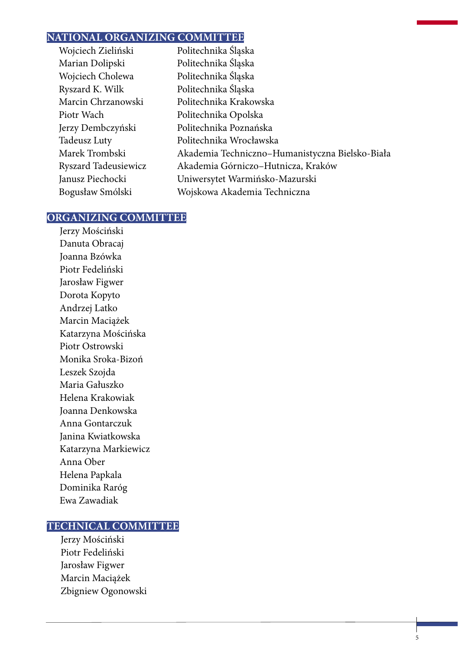#### **NATIONAL ORGANIZING COMMITTEE**

| Wojciech Zieliński   | Politechnika Śląska                             |
|----------------------|-------------------------------------------------|
| Marian Dolipski      | Politechnika Śląska                             |
| Wojciech Cholewa     | Politechnika Śląska                             |
| Ryszard K. Wilk      | Politechnika Śląska                             |
| Marcin Chrzanowski   | Politechnika Krakowska                          |
| Piotr Wach           | Politechnika Opolska                            |
| Jerzy Dembczyński    | Politechnika Poznańska                          |
| Tadeusz Luty         | Politechnika Wrocławska                         |
| Marek Trombski       | Akademia Techniczno-Humanistyczna Bielsko-Biała |
| Ryszard Tadeusiewicz | Akademia Górniczo-Hutnicza, Kraków              |
| Janusz Piechocki     | Uniwersytet Warmińsko-Mazurski                  |
| Bogusław Smólski     | Wojskowa Akademia Techniczna                    |
|                      |                                                 |

5

#### **ORGANIZING COMMITTEE**

Jerzy Mościński Danuta Obracaj Joanna Bzówka Piotr Fedeliński Jarosław Figwer Dorota Kopyto Andrzej Latko Marcin Maciążek Katarzyna Mościńska Piotr Ostrowski Monika Sroka-Bizoń Leszek Szojda Maria Gałuszko Helena Krakowiak Joanna Denkowska Anna Gontarczuk Janina Kwiatkowska Katarzyna Markiewicz Anna Ober Helena Papkala Dominika Raróg Ewa Zawadiak

#### **TECHNICAL COMMITTEE**

Jerzy Mościński Piotr Fedeliński Jarosław Figwer Marcin Maciążek Zbigniew Ogonowski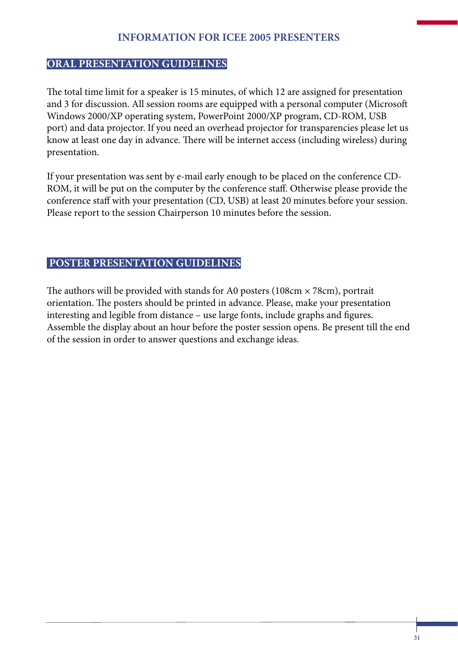#### **INFORMATION FOR ICEE 2005 PRESENTERS**

#### **ORAL PRESENTATION GUIDELINES**

The total time limit for a speaker is 15 minutes, of which 12 are assigned for presentation and 3 for discussion. All session rooms are equipped with a personal computer (Microsoft Windows 2000/XP operating system, PowerPoint 2000/XP program, CD-ROM, USB port) and data projector. If you need an overhead projector for transparencies please let us know at least one day in advance. There will be internet access (including wireless) during presentation.

If your presentation was sent by e-mail early enough to be placed on the conference CD-ROM, it will be put on the computer by the conference staff. Otherwise please provide the conference staff with your presentation (CD, USB) at least 20 minutes before your session. Please report to the session Chairperson 10 minutes before the session.

#### **POSTER PRESENTATION GUIDELINES**

The authors will be provided with stands for A0 posters ( $108 \text{cm} \times 78 \text{cm}$ ), portrait orientation. The posters should be printed in advance. Please, make your presentation interesting and legible from distance – use large fonts, include graphs and figures. Assemble the display about an hour before the poster session opens. Be present till the end of the session in order to answer questions and exchange ideas.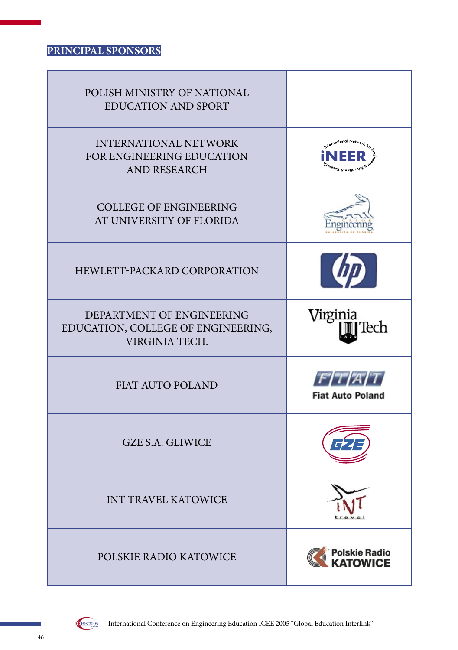# **PRINCIPAL SPONSORS**

| POLISH MINISTRY OF NATIONAL<br><b>EDUCATION AND SPORT</b>                         |                                                                                      |
|-----------------------------------------------------------------------------------|--------------------------------------------------------------------------------------|
| <b>INTERNATIONAL NETWORK</b><br>FOR ENGINEERING EDUCATION<br><b>AND RESEARCH</b>  | <sub>ternational Net<sub>wor</sub></sub><br><sub>Edu</sub> cation & Res <sub>e</sub> |
| <b>COLLEGE OF ENGINEERING</b><br>AT UNIVERSITY OF FLORIDA                         |                                                                                      |
| HEWLETT-PACKARD CORPORATION                                                       |                                                                                      |
| DEPARTMENT OF ENGINEERING<br>EDUCATION, COLLEGE OF ENGINEERING,<br>VIRGINIA TECH. | Virginia<br>Tech                                                                     |
| <b>FIAT AUTO POLAND</b>                                                           | F/T/AT<br><b>Fiat Auto Poland</b>                                                    |
| <b>GZE S.A. GLIWICE</b>                                                           |                                                                                      |
| <b>INT TRAVEL KATOWICE</b>                                                        |                                                                                      |
| POLSKIE RADIO KATOWICE                                                            | <b>Polskie Radio<br/>KATOWICE</b>                                                    |

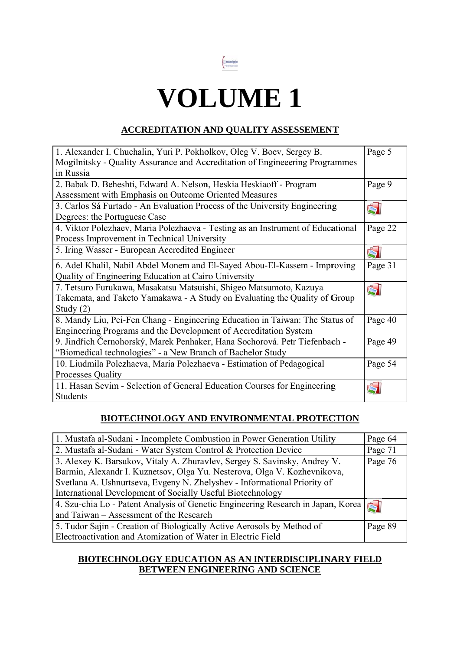

# **VOLUME 1**

#### **ACCREDITATION AND QUALITY ASSESSEMENT**

| 1. Alexander I. Chuchalin, Yuri P. Pokholkov, Oleg V. Boev, Sergey B.           |         |
|---------------------------------------------------------------------------------|---------|
| Mogilnitsky - Quality Assurance and Accreditation of Engineeering Programmes    |         |
| in Russia                                                                       |         |
| 2. Babak D. Beheshti, Edward A. Nelson, Heskia Heskiaoff - Program              | Page 9  |
| Assessment with Emphasis on Outcome Oriented Measures                           |         |
| 3. Carlos Sá Furtado - An Evaluation Process of the University Engineering      |         |
| Degrees: the Portuguese Case                                                    |         |
| 4. Viktor Polezhaev, Maria Polezhaeva - Testing as an Instrument of Educational | Page 22 |
| Process Improvement in Technical University                                     |         |
| 5. Iring Wasser - European Accredited Engineer                                  | Ğ       |
| 6. Adel Khalil, Nabil Abdel Monem and El-Sayed Abou-El-Kassem - Improving       | Page 31 |
| Quality of Engineering Education at Cairo University                            |         |
| 7. Tetsuro Furukawa, Masakatsu Matsuishi, Shigeo Matsumoto, Kazuya              | Á       |
| Takemata, and Taketo Yamakawa - A Study on Evaluating the Quality of Group      |         |
| Study $(2)$                                                                     |         |
| 8. Mandy Liu, Pei-Fen Chang - Engineering Education in Taiwan: The Status of    | Page 40 |
| Engineering Programs and the Development of Accreditation System                |         |
| 9. Jindřich Černohorský, Marek Penhaker, Hana Sochorová. Petr Tiefenbach -      | Page 49 |
| "Biomedical technologies" - a New Branch of Bachelor Study                      |         |
| 10. Liudmila Polezhaeva, Maria Polezhaeva - Estimation of Pedagogical           | Page 54 |
| <b>Processes Quality</b>                                                        |         |
| 11. Hasan Sevim - Selection of General Education Courses for Engineering        |         |
| Students                                                                        |         |

#### **BIOTECHNOLOGY AND ENVIRONMENTAL PROTECTION**

| 1. Mustafa al-Sudani - Incomplete Combustion in Power Generation Utility         | Page 64 |
|----------------------------------------------------------------------------------|---------|
| 2. Mustafa al-Sudani - Water System Control & Protection Device                  | Page 71 |
| 3. Alexey K. Barsukov, Vitaly A. Zhuravlev, Sergey S. Savinsky, Andrey V.        | Page 76 |
| Barmin, Alexandr I. Kuznetsov, Olga Yu. Nesterova, Olga V. Kozhevnikova,         |         |
| Svetlana A. Ushnurtseva, Evgeny N. Zhelyshev - Informational Priority of         |         |
| International Development of Socially Useful Biotechnology                       |         |
| 4. Szu-chia Lo - Patent Analysis of Genetic Engineering Research in Japan, Korea |         |
| and Taiwan – Assessment of the Research                                          |         |
| 5. Tudor Sajin - Creation of Biologically Active Aerosols by Method of           | Page 89 |
| Electroactivation and Atomization of Water in Electric Field                     |         |

#### **BIOTECHNOLOGY EDUCATION AS AN INTERDISCIPLINARY FIELD** BETWEEN ENGINEERING AND SCIENCE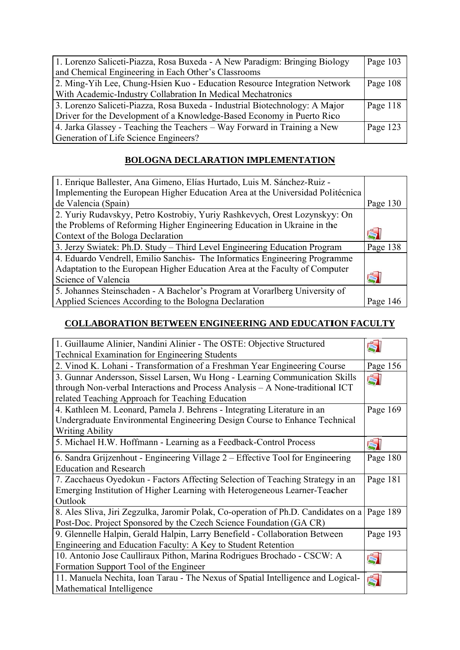| 1. Lorenzo Saliceti-Piazza, Rosa Buxeda - A New Paradigm: Bringing Biology  | Page 103 |
|-----------------------------------------------------------------------------|----------|
| and Chemical Engineering in Each Other's Classrooms                         |          |
| 2. Ming-Yih Lee, Chung-Hsien Kuo - Education Resource Integration Network   | Page 108 |
| With Academic-Industry Collabration In Medical Mechatronics                 |          |
| 3. Lorenzo Saliceti-Piazza, Rosa Buxeda - Industrial Biotechnology: A Major | Page 118 |
| Driver for the Development of a Knowledge-Based Economy in Puerto Rico      |          |
| 4. Jarka Glassey - Teaching the Teachers – Way Forward in Training a New    | Page 123 |
| <b>Generation of Life Science Engineers?</b>                                |          |

# **BOLOGNA DECLARATION IMPLEMENTATION**

| 1. Enrique Ballester, Ana Gimeno, Elías Hurtado, Luis M. Sánchez-Ruiz -        |          |
|--------------------------------------------------------------------------------|----------|
| Implementing the European Higher Education Area at the Universidad Politécnica |          |
| de Valencia (Spain)                                                            | Page 130 |
| 2. Yuriy Rudavskyy, Petro Kostrobiy, Yuriy Rashkevych, Orest Lozynskyy: On     |          |
| the Problems of Reforming Higher Engineering Education in Ukraine in the       |          |
| Context of the Bologa Declaration                                              |          |
| 3. Jerzy Swiatek: Ph.D. Study – Third Level Engineering Education Program      | Page 138 |
| 4. Eduardo Vendrell, Emilio Sanchis- The Informatics Engineering Programme     |          |
| Adaptation to the European Higher Education Area at the Faculty of Computer    |          |
| Science of Valencia                                                            |          |
| 5. Johannes Steinschaden - A Bachelor's Program at Vorarlberg University of    |          |
| Applied Sciences According to the Bologna Declaration                          | Page     |

### **COLLABORATION BETWEEN ENGINEERING AND EDUCATION FACULTY**

| 1. Guillaume Alinier, Nandini Alinier - The OSTE: Objective Structured             |          |
|------------------------------------------------------------------------------------|----------|
| <b>Technical Examination for Engineering Students</b>                              |          |
| 2. Vinod K. Lohani - Transformation of a Freshman Year Engineering Course          |          |
| 3. Gunnar Andersson, Sissel Larsen, Wu Hong - Learning Communication Skills        | ŚI       |
| through Non-verbal Interactions and Process Analysis - A None-traditional ICT      |          |
| related Teaching Approach for Teaching Education                                   |          |
| 4. Kathleen M. Leonard, Pamela J. Behrens - Integrating Literature in an           | Page 169 |
| Undergraduate Environmental Engineering Design Course to Enhance Technical         |          |
| <b>Writing Ability</b>                                                             |          |
| 5. Michael H.W. Hoffmann - Learning as a Feedback-Control Process                  | $\leq$   |
| 6. Sandra Grijzenhout - Engineering Village 2 – Effective Tool for Engineering     | Page 180 |
| <b>Education and Research</b>                                                      |          |
| 7. Zacchaeus Oyedokun - Factors Affecting Selection of Teaching Strategy in an     |          |
| Emerging Institution of Higher Learning with Heterogeneous Learner-Teacher         |          |
| Outlook                                                                            |          |
| 8. Ales Sliva, Jiri Zegzulka, Jaromir Polak, Co-operation of Ph.D. Candidates on a | Page 189 |
| Post-Doc. Project Sponsored by the Czech Science Foundation (GA CR)                |          |
| 9. Glennelle Halpin, Gerald Halpin, Larry Benefield - Collaboration Between        | Page 193 |
| Engineering and Education Faculty: A Key to Student Retention                      |          |
| 10. Antonio Jose Caulliraux Pithon, Marina Rodrigues Brochado - CSCW: A            | 51       |
| Formation Support Tool of the Engineer                                             |          |
| 11. Manuela Nechita, Ioan Tarau - The Nexus of Spatial Intelligence and Logical-   |          |
| Mathematical Intelligence                                                          |          |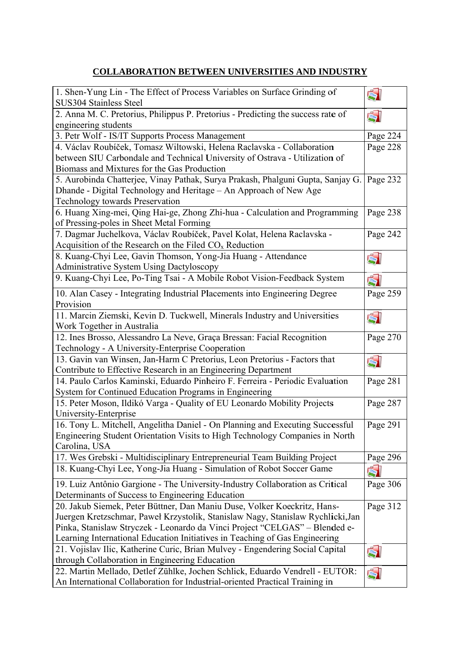## **COLLABORATION BETWEEN UNIVERSITIES AND INDUSTRY**

| 1. Shen-Yung Lin - The Effect of Process Variables on Surface Grinding of<br>SUS304 Stainless Steel      | ŚI       |
|----------------------------------------------------------------------------------------------------------|----------|
| 2. Anna M. C. Pretorius, Philippus P. Pretorius - Predicting the success rate of<br>engineering students | Ś        |
| 3. Petr Wolf - IS/IT Supports Process Management                                                         | Page 224 |
| 4. Václav Roubíček, Tomasz Wiltowski, Helena Raclavska - Collaboration                                   | Page 228 |
| between SIU Carbondale and Technical University of Ostrava - Utilization of                              |          |
| Biomass and Mixtures for the Gas Production                                                              |          |
| 5. Aurobinda Chatterjee, Vinay Pathak, Surya Prakash, Phalguni Gupta, Sanjay G.                          | Page 232 |
| Dhande - Digital Technology and Heritage - An Approach of New Age                                        |          |
| <b>Technology towards Preservation</b>                                                                   |          |
| 6. Huang Xing-mei, Qing Hai-ge, Zhong Zhi-hua - Calculation and Programming                              | Page 238 |
| of Pressing-poles in Sheet Metal Forming                                                                 |          |
| 7. Dagmar Juchelkova, Václav Roubíček, Pavel Kolat, Helena Raclavska -                                   | Page 242 |
| Acquisition of the Research on the Filed $COx$ Reduction                                                 |          |
| 8. Kuang-Chyi Lee, Gavin Thomson, Yong-Jia Huang - Attendance                                            | ŚI       |
| <b>Administrative System Using Dactyloscopy</b>                                                          |          |
| 9. Kuang-Chyi Lee, Po-Ting Tsai - A Mobile Robot Vision-Feedback System                                  | Ś.       |
| 10. Alan Casey - Integrating Industrial Placements into Engineering Degree                               | Page 259 |
| Provision                                                                                                |          |
| 11. Marcin Ziemski, Kevin D. Tuckwell, Minerals Industry and Universities                                | Ś.       |
| Work Together in Australia                                                                               |          |
| 12. Ines Brosso, Alessandro La Neve, Graça Bressan: Facial Recognition                                   | Page 270 |
| Technology - A University-Enterprise Cooperation                                                         |          |
| 13. Gavin van Winsen, Jan-Harm C Pretorius, Leon Pretorius - Factors that                                | ŚI       |
| Contribute to Effective Research in an Engineering Department                                            |          |
| 14. Paulo Carlos Kaminski, Eduardo Pinheiro F. Ferreira - Periodic Evaluation                            | Page 281 |
| System for Continued Education Programs in Engineering                                                   |          |
| 15. Peter Moson, Ildikó Varga - Quality of EU Leonardo Mobility Projects                                 | Page 287 |
| University-Enterprise                                                                                    |          |
| 16. Tony L. Mitchell, Angelitha Daniel - On Planning and Executing Successful                            | Page 291 |
| Engineering Student Orientation Visits to High Technology Companies in North                             |          |
| Carolina, USA                                                                                            |          |
| 17. Wes Grebski - Multidisciplinary Entrepreneurial Team Building Project                                | Page 296 |
| 18. Kuang-Chyi Lee, Yong-Jia Huang - Simulation of Robot Soccer Game                                     | Ś        |
| 19. Luiz Antônio Gargione - The University-Industry Collaboration as Critical                            | Page 306 |
| Determinants of Success to Engineering Education                                                         |          |
| 20. Jakub Siemek, Peter Büttner, Dan Maniu Duse, Volker Koeckritz, Hans-                                 | Page 312 |
| Juergen Kretzschmar, Paweł Krzystolik, Stanislaw Nagy, Stanislaw Rychlicki, Jan                          |          |
| Pinka, Stanislaw Stryczek - Leonardo da Vinci Project "CELGAS" - Blended e-                              |          |
| Learning International Education Initiatives in Teaching of Gas Engineering                              |          |
| 21. Vojislav Ilic, Katherine Curic, Brian Mulvey - Engendering Social Capital                            | Ś        |
| through Collaboration in Engineering Education                                                           |          |
| 22. Martin Mellado, Detlef Zühlke, Jochen Schlick, Eduardo Vendrell - EUTOR:                             | Ś        |
| An International Collaboration for Industrial-oriented Practical Training in                             |          |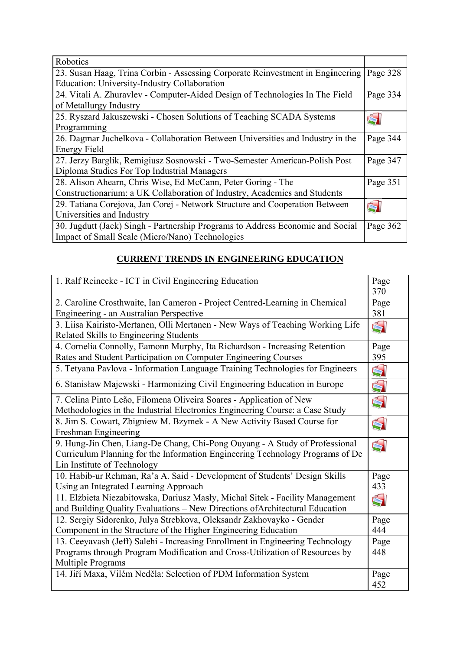| Robotics                                                                       |          |
|--------------------------------------------------------------------------------|----------|
| 23. Susan Haag, Trina Corbin - Assessing Corporate Reinvestment in Engineering | Page 328 |
| <b>Education: University-Industry Collaboration</b>                            |          |
| 24. Vitali A. Zhuravlev - Computer-Aided Design of Technologies In The Field   | Page 334 |
| of Metallurgy Industry                                                         |          |
| 25. Ryszard Jakuszewski - Chosen Solutions of Teaching SCADA Systems           |          |
| Programming                                                                    |          |
| 26. Dagmar Juchelkova - Collaboration Between Universities and Industry in the | Page 344 |
| Energy Field                                                                   |          |
| 27. Jerzy Barglik, Remigiusz Sosnowski - Two-Semester American-Polish Post     | Page 347 |
| Diploma Studies For Top Industrial Managers                                    |          |
| 28. Alison Ahearn, Chris Wise, Ed McCann, Peter Goring - The                   | Page 351 |
| Constructionarium: a UK Collaboration of Industry, Academics and Students      |          |
| 29. Tatiana Corejova, Jan Corej - Network Structure and Cooperation Between    |          |
| Universities and Industry                                                      |          |
| 30. Jugdutt (Jack) Singh - Partnership Programs to Address Economic and Social | Page 362 |
| Impact of Small Scale (Micro/Nano) Technologies                                |          |

# **CURRENT TRENDS IN ENGINEERING EDUCATION**

| 1. Ralf Reinecke - ICT in Civil Engineering Education                                                                                                                                       | Page<br>370 |
|---------------------------------------------------------------------------------------------------------------------------------------------------------------------------------------------|-------------|
| 2. Caroline Crosthwaite, Ian Cameron - Project Centred-Learning in Chemical<br>Engineering - an Australian Perspective                                                                      | Page<br>381 |
| 3. Liisa Kairisto-Mertanen, Olli Mertanen - New Ways of Teaching Working Life<br>Related Skills to Engineering Students                                                                     | Ś           |
| 4. Cornelia Connolly, Eamonn Murphy, Ita Richardson - Increasing Retention<br>Rates and Student Participation on Computer Engineering Courses                                               | Page<br>395 |
| 5. Tetyana Pavlova - Information Language Training Technologies for Engineers                                                                                                               | Ś           |
| 6. Stanisław Majewski - Harmonizing Civil Engineering Education in Europe                                                                                                                   | Ś           |
| 7. Celina Pinto Leão, Filomena Oliveira Soares - Application of New<br>Methodologies in the Industrial Electronics Engineering Course: a Case Study                                         | Ś           |
| 8. Jim S. Cowart, Zbigniew M. Bzymek - A New Activity Based Course for<br>Freshman Engineering                                                                                              | Ś           |
| 9. Hung-Jin Chen, Liang-De Chang, Chi-Pong Ouyang - A Study of Professional<br>Curriculum Planning for the Information Engineering Technology Programs of De<br>Lin Institute of Technology | Ś           |
| 10. Habib-ur Rehman, Ra'a A. Said - Development of Students' Design Skills<br>Using an Integrated Learning Approach                                                                         | Page<br>433 |
| 11. Elżbieta Niezabitowska, Dariusz Masły, Michał Sitek - Facility Management<br>and Building Quality Evaluations - New Directions of Architectural Education                               | Ś           |
| 12. Sergiy Sidorenko, Julya Strebkova, Oleksandr Zakhovayko - Gender<br>Component in the Structure of the Higher Engineering Education                                                      | Page<br>444 |
| 13. Ceeyavash (Jeff) Salehi - Increasing Enrollment in Engineering Technology<br>Programs through Program Modification and Cross-Utilization of Resources by<br><b>Multiple Programs</b>    | Page<br>448 |
| 14. Jiří Maxa, Vilém Neděla: Selection of PDM Information System                                                                                                                            | Page<br>452 |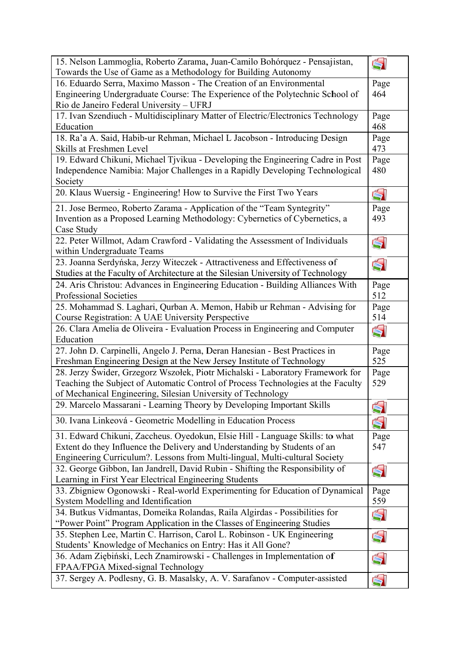| Towards the Use of Game as a Methodology for Building Autonomy<br>16. Eduardo Serra, Maximo Masson - The Creation of an Environmental<br>Page<br>Engineering Undergraduate Course: The Experience of the Polytechnic School of<br>464<br>Rio de Janeiro Federal University - UFRJ<br>17. Ivan Szendiuch - Multidisciplinary Matter of Electric/Electronics Technology<br>Page |
|-------------------------------------------------------------------------------------------------------------------------------------------------------------------------------------------------------------------------------------------------------------------------------------------------------------------------------------------------------------------------------|
|                                                                                                                                                                                                                                                                                                                                                                               |
|                                                                                                                                                                                                                                                                                                                                                                               |
|                                                                                                                                                                                                                                                                                                                                                                               |
|                                                                                                                                                                                                                                                                                                                                                                               |
| Education<br>468                                                                                                                                                                                                                                                                                                                                                              |
| 18. Ra'a A. Said, Habib-ur Rehman, Michael L Jacobson - Introducing Design<br>Page                                                                                                                                                                                                                                                                                            |
| Skills at Freshmen Level<br>473                                                                                                                                                                                                                                                                                                                                               |
| 19. Edward Chikuni, Michael Tjvikua - Developing the Engineering Cadre in Post<br>Page                                                                                                                                                                                                                                                                                        |
| Independence Namibia: Major Challenges in a Rapidly Developing Technological<br>480                                                                                                                                                                                                                                                                                           |
| Society                                                                                                                                                                                                                                                                                                                                                                       |
| 20. Klaus Wuersig - Engineering! How to Survive the First Two Years<br>Ś                                                                                                                                                                                                                                                                                                      |
| 21. Jose Bermeo, Roberto Zarama - Application of the "Team Syntegrity"<br>Page                                                                                                                                                                                                                                                                                                |
| Invention as a Proposed Learning Methodology: Cybernetics of Cybernetics, a<br>493                                                                                                                                                                                                                                                                                            |
| Case Study                                                                                                                                                                                                                                                                                                                                                                    |
| 22. Peter Willmot, Adam Crawford - Validating the Assessment of Individuals<br>Ś                                                                                                                                                                                                                                                                                              |
| within Undergraduate Teams                                                                                                                                                                                                                                                                                                                                                    |
| 23. Joanna Serdyńska, Jerzy Witeczek - Attractiveness and Effectiveness of<br>Ś                                                                                                                                                                                                                                                                                               |
| Studies at the Faculty of Architecture at the Silesian University of Technology                                                                                                                                                                                                                                                                                               |
| 24. Aris Christou: Advances in Engineering Education - Building Alliances With<br>Page                                                                                                                                                                                                                                                                                        |
| 512<br><b>Professional Societies</b>                                                                                                                                                                                                                                                                                                                                          |
| 25. Mohammad S. Laghari, Qurban A. Memon, Habib ur Rehman - Advising for<br>Page                                                                                                                                                                                                                                                                                              |
| Course Registration: A UAE University Perspective<br>514                                                                                                                                                                                                                                                                                                                      |
| 26. Clara Amelia de Oliveira - Evaluation Process in Engineering and Computer<br>Ś                                                                                                                                                                                                                                                                                            |
| Education                                                                                                                                                                                                                                                                                                                                                                     |
| 27. John D. Carpinelli, Angelo J. Perna, Deran Hanesian - Best Practices in<br>Page                                                                                                                                                                                                                                                                                           |
| 525<br>Freshman Engineering Design at the New Jersey Institute of Technology                                                                                                                                                                                                                                                                                                  |
| 28. Jerzy Świder, Grzegorz Wszołek, Piotr Michalski - Laboratory Framework for<br>Page                                                                                                                                                                                                                                                                                        |
| Teaching the Subject of Automatic Control of Process Technologies at the Faculty<br>529                                                                                                                                                                                                                                                                                       |
| of Mechanical Engineering, Silesian University of Technology                                                                                                                                                                                                                                                                                                                  |
| 29. Marcelo Massarani - Learning Theory by Developing Important Skills<br>Ś                                                                                                                                                                                                                                                                                                   |
| 30. Ivana Linkeová - Geometric Modelling in Education Process<br>Ś                                                                                                                                                                                                                                                                                                            |
| 31. Edward Chikuni, Zaccheus. Oyedokun, Elsie Hill - Language Skills: to what<br>Page                                                                                                                                                                                                                                                                                         |
| Extent do they Influence the Delivery and Understanding by Students of an<br>547                                                                                                                                                                                                                                                                                              |
| Engineering Curriculum?. Lessons from Multi-lingual, Multi-cultural Society                                                                                                                                                                                                                                                                                                   |
| 32. George Gibbon, Ian Jandrell, David Rubin - Shifting the Responsibility of<br>Ś                                                                                                                                                                                                                                                                                            |
| Learning in First Year Electrical Engineering Students                                                                                                                                                                                                                                                                                                                        |
| 33. Zbigniew Ogonowski - Real-world Experimenting for Education of Dynamical<br>Page                                                                                                                                                                                                                                                                                          |
| System Modelling and Identification<br>559                                                                                                                                                                                                                                                                                                                                    |
| 34. Butkus Vidmantas, Domeika Rolandas, Raila Algirdas - Possibilities for                                                                                                                                                                                                                                                                                                    |
| Ś<br>"Power Point" Program Application in the Classes of Engineering Studies                                                                                                                                                                                                                                                                                                  |
| 35. Stephen Lee, Martin C. Harrison, Carol L. Robinson - UK Engineering<br>Ś                                                                                                                                                                                                                                                                                                  |
| Students' Knowledge of Mechanics on Entry: Has it All Gone?                                                                                                                                                                                                                                                                                                                   |
| 36. Adam Ziębiński, Lech Znamirowski - Challenges in Implementation of<br>Ś                                                                                                                                                                                                                                                                                                   |
| FPAA/FPGA Mixed-signal Technology                                                                                                                                                                                                                                                                                                                                             |
| 37. Sergey A. Podlesny, G. B. Masalsky, A. V. Sarafanov - Computer-assisted<br>Ś                                                                                                                                                                                                                                                                                              |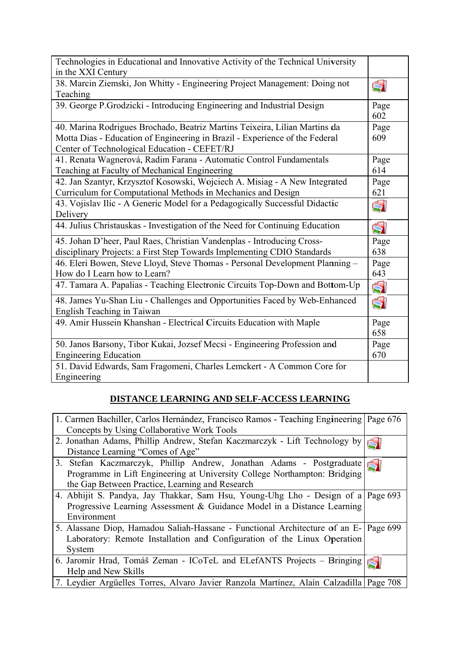| Technologies in Educational and Innovative Activity of the Technical University<br>in the XXI Century                                                                                                     |             |
|-----------------------------------------------------------------------------------------------------------------------------------------------------------------------------------------------------------|-------------|
| 38. Marcin Ziemski, Jon Whitty - Engineering Project Management: Doing not<br>Teaching                                                                                                                    | Ś           |
| 39. George P.Grodzicki - Introducing Engineering and Industrial Design                                                                                                                                    | Page<br>602 |
| 40. Marina Rodrigues Brochado, Beatriz Martins Teixeira, Lílian Martins da<br>Motta Dias - Education of Engineering in Brazil - Experience of the Federal<br>Center of Technological Education - CEFET/RJ | Page<br>609 |
| 41. Renata Wagnerová, Radim Farana - Automatic Control Fundamentals<br>Teaching at Faculty of Mechanical Engineering                                                                                      | Page<br>614 |
| 42. Jan Szantyr, Krzysztof Kosowski, Wojciech A. Misiag - A New Integrated<br>Curriculum for Computational Methods in Mechanics and Design                                                                | Page<br>621 |
| 43. Vojislav Ilic - A Generic Model for a Pedagogically Successful Didactic<br>Delivery                                                                                                                   | Ś           |
| 44. Julius Christauskas - Investigation of the Need for Continuing Education                                                                                                                              | Ś           |
| 45. Johan D'heer, Paul Raes, Christian Vandenplas - Introducing Cross-<br>disciplinary Projects: a First Step Towards Implementing CDIO Standards                                                         | Page<br>638 |
| 46. Eleri Bowen, Steve Lloyd, Steve Thomas - Personal Development Planning -<br>How do I Learn how to Learn?                                                                                              | Page<br>643 |
| 47. Tamara A. Papalias - Teaching Electronic Circuits Top-Down and Bottom-Up                                                                                                                              | Ś           |
| 48. James Yu-Shan Liu - Challenges and Opportunities Faced by Web-Enhanced<br>English Teaching in Taiwan                                                                                                  | Ś           |
| 49. Amir Hussein Khanshan - Electrical Circuits Education with Maple                                                                                                                                      | Page<br>658 |
| 50. Janos Barsony, Tibor Kukai, Jozsef Mecsi - Engineering Profession and<br><b>Engineering Education</b>                                                                                                 | Page<br>670 |
| 51. David Edwards, Sam Fragomeni, Charles Lemckert - A Common Core for<br>Engineering                                                                                                                     |             |

### DISTANCE LEARNING AND SELF-ACCESS LEARNING

| 1. Carmen Bachiller, Carlos Hernández, Francisco Ramos - Teaching Engineering Page 676 |  |
|----------------------------------------------------------------------------------------|--|
| Concepts by Using Collaborative Work Tools                                             |  |
| 2. Jonathan Adams, Phillip Andrew, Stefan Kaczmarczyk - Lift Technology by             |  |
| Distance Learning "Comes of Age"                                                       |  |
| 3. Stefan Kaczmarczyk, Phillip Andrew, Jonathan Adams - Postgraduate                   |  |
| Programme in Lift Engineering at University College Northampton: Bridging              |  |
| the Gap Between Practice, Learning and Research                                        |  |
| 4. Abhijit S. Pandya, Jay Thakkar, Sam Hsu, Young-Uhg Lho - Design of a Page 693       |  |
| Progressive Learning Assessment & Guidance Model in a Distance Learning                |  |
| Environment                                                                            |  |
| 5. Alassane Diop, Hamadou Saliah-Hassane - Functional Architecture of an E- Page 699   |  |
| Laboratory: Remote Installation and Configuration of the Linux Operation               |  |
| System                                                                                 |  |
| 6. Jaromír Hrad, Tomáš Zeman - ICoTeL and ELefANTS Projects - Bringing                 |  |
| Help and New Skills                                                                    |  |
| 7. Leydier Argüelles Torres, Alvaro Javier Ranzola Martínez, Alaín Calzadilla Page 708 |  |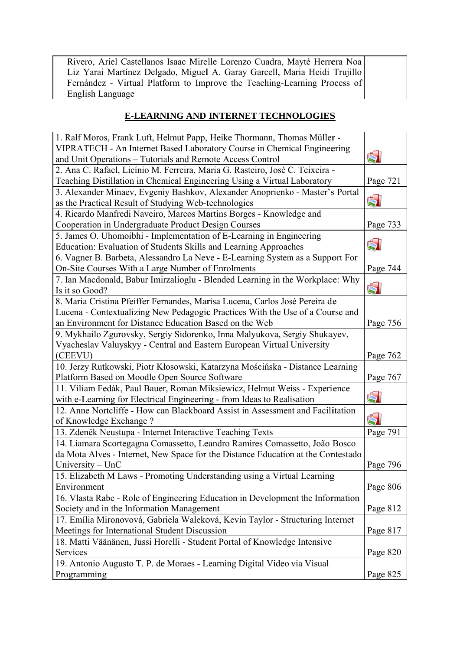| Rivero, Ariel Castellanos Isaac Mirelle Lorenzo Cuadra, Mayté Herrera Noa |  |
|---------------------------------------------------------------------------|--|
| Liz Yarai Martínez Delgado, Miguel A. Garay Garcell, Maria Heidi Trujillo |  |
| Fernández - Virtual Platform to Improve the Teaching-Learning Process of  |  |
| English Language                                                          |  |

## **E-LEARNING AND INTERNET TECHNOLOGIES**

| 1. Ralf Moros, Frank Luft, Helmut Papp, Heike Thormann, Thomas Müller -          |          |
|----------------------------------------------------------------------------------|----------|
| VIPRATECH - An Internet Based Laboratory Course in Chemical Engineering          |          |
| and Unit Operations - Tutorials and Remote Access Control                        | ŚI       |
| 2. Ana C. Rafael, Licínio M. Ferreira, Maria G. Rasteiro, José C. Teixeira -     |          |
| Teaching Distillation in Chemical Engineering Using a Virtual Laboratory         | Page 721 |
| 3. Alexander Minaev, Evgeniy Bashkov, Alexander Anoprienko - Master's Portal     |          |
| as the Practical Result of Studying Web-technologies                             | ŚÌ       |
| 4. Ricardo Manfredi Naveiro, Marcos Martins Borges - Knowledge and               |          |
| Cooperation in Undergraduate Product Design Courses                              | Page 733 |
| 5. James O. Uhomoibhi - Implementation of E-Learning in Engineering              |          |
| <b>Education: Evaluation of Students Skills and Learning Approaches</b>          | $\leq$   |
| 6. Vagner B. Barbeta, Alessandro La Neve - E-Learning System as a Support For    |          |
| On-Site Courses With a Large Number of Enrolments                                | Page 744 |
| 7. Ian Macdonald, Babur Imirzalioglu - Blended Learning in the Workplace: Why    |          |
| Is it so Good?                                                                   | Ś        |
| 8. Maria Cristina Pfeiffer Fernandes, Marisa Lucena, Carlos José Pereira de      |          |
| Lucena - Contextualizing New Pedagogic Practices With the Use of a Course and    |          |
| an Environment for Distance Education Based on the Web                           | Page 756 |
| 9. Mykhailo Zgurovsky, Sergiy Sidorenko, Inna Malyukova, Sergiy Shukayev,        |          |
| Vyacheslav Valuyskyy - Central and Eastern European Virtual University           |          |
| (CEEVU)                                                                          | Page 762 |
| 10. Jerzy Rutkowski, Piotr Kłosowski, Katarzyna Mościńska - Distance Learning    |          |
| Platform Based on Moodle Open Source Software                                    | Page 767 |
| 11. Viliam Fedák, Paul Bauer, Roman Miksiewicz, Helmut Weiss - Experience        |          |
| with e-Learning for Electrical Engineering - from Ideas to Realisation           | ŚI       |
| 12. Anne Nortcliffe - How can Blackboard Assist in Assessment and Facilitation   | Ś        |
| of Knowledge Exchange?                                                           |          |
| 13. Zdeněk Neustupa - Internet Interactive Teaching Texts                        | Page 791 |
| 14. Liamara Scortegagna Comassetto, Leandro Ramires Comassetto, João Bosco       |          |
| da Mota Alves - Internet, New Space for the Distance Education at the Contestado |          |
| University $-$ UnC                                                               | Page 796 |
| 15. Elizabeth M Laws - Promoting Understanding using a Virtual Learning          |          |
| Environment                                                                      | Page 806 |
| 16. Vlasta Rabe - Role of Engineering Education in Development the Information   |          |
| Society and in the Information Management                                        | Page 812 |
| 17. Emília Mironovová, Gabriela Waleková, Kevin Taylor - Structuring Internet    |          |
| Meetings for International Student Discussion                                    | Page 817 |
| 18. Matti Väänänen, Jussi Horelli - Student Portal of Knowledge Intensive        |          |
| Services                                                                         | Page 820 |
| 19. Antonio Augusto T. P. de Moraes - Learning Digital Video via Visual          |          |
| Programming                                                                      | Page 825 |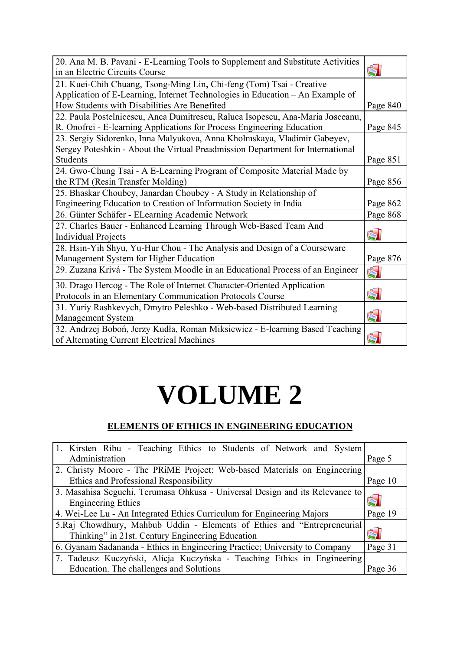| 20. Ana M. B. Pavani - E-Learning Tools to Supplement and Substitute Activities |          |
|---------------------------------------------------------------------------------|----------|
| in an Electric Circuits Course                                                  | Ś        |
| 21. Kuei-Chih Chuang, Tsong-Ming Lin, Chi-feng (Tom) Tsai - Creative            |          |
| Application of E-Learning, Internet Technologies in Education – An Example of   |          |
| How Students with Disabilities Are Benefited                                    | Page 840 |
| 22. Paula Postelnicescu, Anca Dumitrescu, Raluca Isopescu, Ana-Maria Josceanu,  |          |
| R. Onofrei - E-learning Applications for Process Engineering Education          | Page 845 |
| 23. Sergiy Sidorenko, Inna Malyukova, Anna Kholmskaya, Vladimir Gabeyev,        |          |
| Sergey Poteshkin - About the Virtual Preadmission Department for International  |          |
| <b>Students</b>                                                                 | Page 851 |
| 24. Gwo-Chung Tsai - A E-Learning Program of Composite Material Made by         |          |
| the RTM (Resin Transfer Molding)                                                | Page 856 |
| 25. Bhaskar Choubey, Janardan Choubey - A Study in Relationship of              |          |
| Engineering Education to Creation of Information Society in India               | Page 862 |
| 26. Günter Schäfer - ELearning Academic Network                                 | Page 868 |
| 27. Charles Bauer - Enhanced Learning Through Web-Based Team And                |          |
| <b>Individual Projects</b>                                                      | Ŕ.       |
| 28. Hsin-Yih Shyu, Yu-Hur Chou - The Analysis and Design of a Courseware        |          |
| Management System for Higher Education                                          | Page 876 |
| 29. Zuzana Krivá - The System Moodle in an Educational Process of an Engineer   | Ś        |
| 30. Drago Hercog - The Role of Internet Character-Oriented Application          |          |
| Protocols in an Elementary Communication Protocols Course                       | Ś        |
| 31. Yuriy Rashkevych, Dmytro Peleshko - Web-based Distributed Learning          |          |
| Management System                                                               | Ś        |
| 32. Andrzej Boboń, Jerzy Kudła, Roman Miksiewicz - E-learning Based Teaching    |          |
| of Alternating Current Electrical Machines                                      |          |

# **VOLUME 2**

# ELEMENTS OF ETHICS IN ENGINEERING EDUCATION

| 1. Kirsten Ribu - Teaching Ethics to Students of Network and System                                                           |         |
|-------------------------------------------------------------------------------------------------------------------------------|---------|
| Administration                                                                                                                | Page 5  |
| 2. Christy Moore - The PRIME Project: Web-based Materials on Engineering                                                      |         |
| Ethics and Professional Responsibility                                                                                        | Page 10 |
| 3. Masahisa Seguchi, Terumasa Ohkusa - Universal Design and its Relevance to<br><b>Engineering Ethics</b>                     |         |
| 4. Wei-Lee Lu - An Integrated Ethics Curriculum for Engineering Majors                                                        | Page 19 |
| 5. Raj Chowdhury, Mahbub Uddin - Elements of Ethics and "Entrepreneurial"<br>Thinking" in 21st. Century Engineering Education |         |
| 6. Gyanam Sadananda - Ethics in Engineering Practice; University to Company                                                   | Page 31 |
| 7. Tadeusz Kuczyński, Alicja Kuczyńska - Teaching Ethics in Engineering                                                       |         |
|                                                                                                                               |         |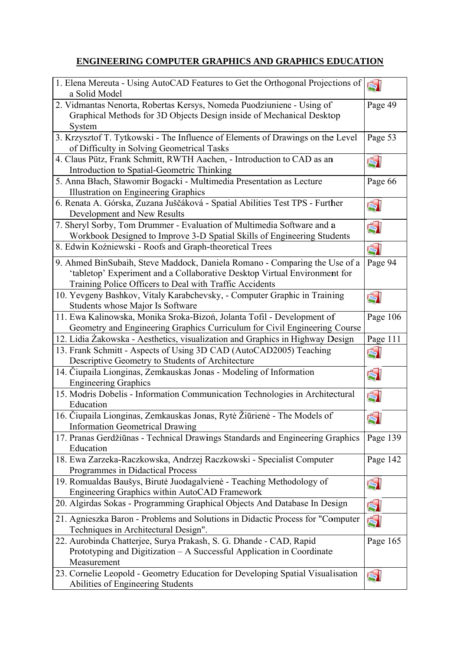# **ENGINEERING COMPUTER GRAPHICS AND GRAPHICS EDUCATION**

| 1. Elena Mereuta - Using AutoCAD Features to Get the Orthogonal Projections of<br>a Solid Model | Ś        |
|-------------------------------------------------------------------------------------------------|----------|
| 2. Vidmantas Nenorta, Robertas Kersys, Nomeda Puodziuniene - Using of                           | Page 49  |
| Graphical Methods for 3D Objects Design inside of Mechanical Desktop                            |          |
| System                                                                                          |          |
| 3. Krzysztof T. Tytkowski - The Influence of Elements of Drawings on the Level                  | Page 53  |
| of Difficulty in Solving Geometrical Tasks                                                      |          |
| 4. Claus Pütz, Frank Schmitt, RWTH Aachen, - Introduction to CAD as an                          | Ś        |
| Introduction to Spatial-Geometric Thinking                                                      |          |
| 5. Anna Błach, Sławomir Bogacki - Multimedia Presentation as Lecture                            | Page 66  |
| Illustration on Engineering Graphics                                                            |          |
| 6. Renata A. Górska, Zuzana Juščáková - Spatial Abilities Test TPS - Further                    | ŚI       |
| Development and New Results                                                                     |          |
| 7. Sheryl Sorby, Tom Drummer - Evaluation of Multimedia Software and a                          | ŚI       |
| Workbook Designed to Improve 3-D Spatial Skills of Engineering Students                         |          |
| 8. Edwin Koźniewski - Roofs and Graph-theoretical Trees                                         | Ś        |
|                                                                                                 |          |
| 9. Ahmed BinSubaih, Steve Maddock, Daniela Romano - Comparing the Use of a                      | Page 94  |
| 'tabletop' Experiment and a Collaborative Desktop Virtual Environment for                       |          |
| Training Police Officers to Deal with Traffic Accidents                                         |          |
| 10. Yevgeny Bashkov, Vitaly Karabchevsky, - Computer Graphic in Training                        | ŚI       |
| Students whose Major Is Software                                                                |          |
| 11. Ewa Kalinowska, Monika Sroka-Bizoń, Jolanta Tofil - Development of                          | Page 106 |
| Geometry and Engineering Graphics Curriculum for Civil Engineering Course                       |          |
| 12. Lidia Żakowska - Aesthetics, visualization and Graphics in Highway Design                   | Page 111 |
| 13. Frank Schmitt - Aspects of Using 3D CAD (AutoCAD2005) Teaching                              | ŚI       |
| Descriptive Geometry to Students of Architecture                                                |          |
| 14. Čiupaila Lionginas, Zemkauskas Jonas - Modeling of Information                              | Ŕ        |
| <b>Engineering Graphics</b>                                                                     |          |
| 15. Modris Dobelis - Information Communication Technologies in Architectural                    | Ś        |
| Education                                                                                       |          |
| 16. Čiupaila Lionginas, Zemkauskas Jonas, Rytė Žiūrienė - The Models of                         | Ś        |
| <b>Information Geometrical Drawing</b>                                                          |          |
| 17. Pranas Gerdžiūnas - Technical Drawings Standards and Engineering Graphics                   | Page 139 |
| Education                                                                                       |          |
| 18. Ewa Zarzeka-Raczkowska, Andrzej Raczkowski - Specialist Computer                            | Page 142 |
| Programmes in Didactical Process                                                                |          |
| 19. Romualdas Baušys, Birutė Juodagalvienė - Teaching Methodology of                            | Ś.       |
| Engineering Graphics within AutoCAD Framework                                                   |          |
| 20. Algirdas Sokas - Programming Graphical Objects And Database In Design                       | ŚI       |
| 21. Agnieszka Baron - Problems and Solutions in Didactic Process for "Computer                  | ŚI       |
| Techniques in Architectural Design".                                                            |          |
| 22. Aurobinda Chatterjee, Surya Prakash, S. G. Dhande - CAD, Rapid                              | Page 165 |
| Prototyping and Digitization - A Successful Application in Coordinate                           |          |
| Measurement                                                                                     |          |
| 23. Cornelie Leopold - Geometry Education for Developing Spatial Visualisation                  | Ś.       |
| Abilities of Engineering Students                                                               |          |
|                                                                                                 |          |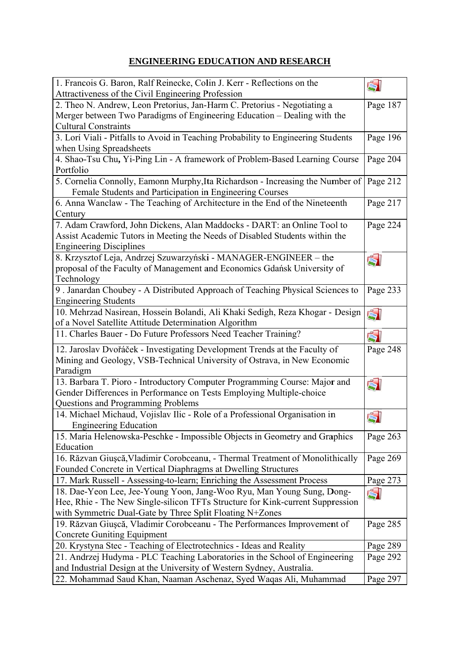## **ENGINEERING EDUCATION AND RESEARCH**

| 1. Francois G. Baron, Ralf Reinecke, Colin J. Kerr - Reflections on the                                                                              | ŚI                    |
|------------------------------------------------------------------------------------------------------------------------------------------------------|-----------------------|
| Attractiveness of the Civil Engineering Profession                                                                                                   | Page 187              |
| 2. Theo N. Andrew, Leon Pretorius, Jan-Harm C. Pretorius - Negotiating a<br>Merger between Two Paradigms of Engineering Education - Dealing with the |                       |
| <b>Cultural Constraints</b>                                                                                                                          |                       |
| 3. Lorí Viali - Pitfalls to Avoid in Teaching Probability to Engineering Students                                                                    | Page 196              |
| when Using Spreadsheets                                                                                                                              |                       |
| 4. Shao-Tsu Chu, Yi-Ping Lin - A framework of Problem-Based Learning Course                                                                          | Page 204              |
| Portfolio                                                                                                                                            |                       |
| 5. Cornelia Connolly, Eamonn Murphy, Ita Richardson - Increasing the Number of                                                                       | Page 212              |
| Female Students and Participation in Engineering Courses                                                                                             |                       |
| 6. Anna Wanclaw - The Teaching of Architecture in the End of the Nineteenth                                                                          | Page 217              |
| Century                                                                                                                                              |                       |
| 7. Adam Crawford, John Dickens, Alan Maddocks - DART: an Online Tool to                                                                              | Page 224              |
| Assist Academic Tutors in Meeting the Needs of Disabled Students within the                                                                          |                       |
| <b>Engineering Disciplines</b>                                                                                                                       |                       |
| 8. Krzysztof Leja, Andrzej Szuwarzyński - MANAGER-ENGINEER – the                                                                                     | Ś                     |
| proposal of the Faculty of Management and Economics Gdańsk University of                                                                             |                       |
| Technology                                                                                                                                           |                       |
| 9. Janardan Choubey - A Distributed Approach of Teaching Physical Sciences to                                                                        | Page 233              |
| <b>Engineering Students</b>                                                                                                                          |                       |
| 10. Mehrzad Nasirean, Hossein Bolandi, Ali Khaki Sedigh, Reza Khogar - Design                                                                        | ŚÌ                    |
| of a Novel Satellite Attitude Determination Algorithm                                                                                                |                       |
| 11. Charles Bauer - Do Future Professors Need Teacher Training?                                                                                      | $\blacktriangleright$ |
| 12. Jaroslav Dvořáček - Investigating Development Trends at the Faculty of                                                                           | Page 248              |
| Mining and Geology, VSB-Technical University of Ostrava, in New Economic                                                                             |                       |
| Paradigm                                                                                                                                             |                       |
| 13. Barbara T. Pioro - Introductory Computer Programming Course: Major and                                                                           | Ś                     |
| Gender Differences in Performance on Tests Employing Multiple-choice                                                                                 |                       |
| Questions and Programming Problems                                                                                                                   |                       |
| 14. Michael Michaud, Vojislav Ilic - Role of a Professional Organisation in                                                                          | 51                    |
| <b>Engineering Education</b>                                                                                                                         |                       |
| 15. Maria Helenowska-Peschke - Impossible Objects in Geometry and Graphics                                                                           | Page 263              |
| Education                                                                                                                                            |                       |
| 16. Răzvan Giușcă, Vladimir Corobceanu, - Thermal Treatment of Monolithically                                                                        | Page 269              |
| Founded Concrete in Vertical Diaphragms at Dwelling Structures                                                                                       |                       |
| 17. Mark Russell - Assessing-to-learn; Enriching the Assessment Process                                                                              | Page 273              |
| 18. Dae-Yeon Lee, Jee-Young Yoon, Jang-Woo Ryu, Man Young Sung, Dong-                                                                                | Ŕ                     |
| Hee, Rhie - The New Single-silicon TFTs Structure for Kink-current Suppression                                                                       |                       |
| with Symmetric Dual-Gate by Three Split Floating N+Zones                                                                                             |                       |
| 19. Răzvan Giușcă, Vladimir Corobceanu - The Performances Improvement of                                                                             | Page 285              |
| <b>Concrete Guniting Equipment</b>                                                                                                                   |                       |
| 20. Krystyna Stec - Teaching of Electrotechnics - Ideas and Reality                                                                                  | Page 289              |
| 21. Andrzej Hudyma - PLC Teaching Laboratories in the School of Engineering                                                                          | Page 292              |
| and Industrial Design at the University of Western Sydney, Australia.                                                                                | Page 297              |
| 22. Mohammad Saud Khan, Naaman Aschenaz, Syed Waqas Ali, Muhammad                                                                                    |                       |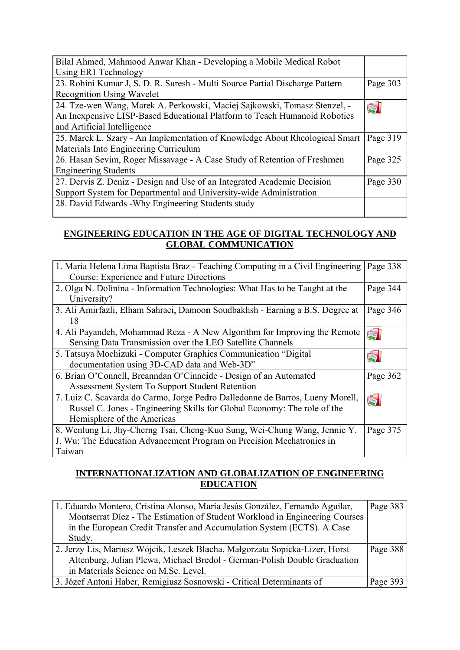| Bilal Ahmed, Mahmood Anwar Khan - Developing a Mobile Medical Robot          |          |
|------------------------------------------------------------------------------|----------|
| Using ER1 Technology                                                         |          |
| 23. Rohini Kumar J, S. D. R. Suresh - Multi Source Partial Discharge Pattern | Page 303 |
| <b>Recognition Using Wavelet</b>                                             |          |
| 24. Tze-wen Wang, Marek A. Perkowski, Maciej Sajkowski, Tomasz Stenzel, -    |          |
| An Inexpensive LISP-Based Educational Platform to Teach Humanoid Robotics    |          |
| and Artificial Intelligence                                                  |          |
| 25. Marek L. Szary - An Implementation of Knowledge About Rheological Smart  | Page 319 |
| Materials Into Engineering Curriculum                                        |          |
| 26. Hasan Sevim, Roger Missavage - A Case Study of Retention of Freshmen     | Page 325 |
| <b>Engineering Students</b>                                                  |          |
| 27. Dervis Z. Deniz - Design and Use of an Integrated Academic Decision      | Page 330 |
| Support System for Departmental and University-wide Administration           |          |
| 28. David Edwards - Why Engineering Students study                           |          |
|                                                                              |          |

### **ENGINEERING EDUCATION IN THE AGE OF DIGITAL TECHNOLOGY AND GLOBAL COMMUNICATION**

| 1. Maria Helena Lima Baptista Braz - Teaching Computing in a Civil Engineering | Page 338 |
|--------------------------------------------------------------------------------|----------|
| Course: Experience and Future Directions                                       |          |
| 2. Olga N. Dolinina - Information Technologies: What Has to be Taught at the   | Page 344 |
| University?                                                                    |          |
| 3. Ali Amirfazli, Elham Sahraei, Damoon Soudbakhsh - Earning a B.S. Degree at  | Page 346 |
| 18                                                                             |          |
| 4. Ali Payandeh, Mohammad Reza - A New Algorithm for Improving the Remote      | 5        |
| Sensing Data Transmission over the LEO Satellite Channels                      |          |
| 5. Tatsuya Mochizuki - Computer Graphics Communication "Digital"               |          |
| documentation using 3D-CAD data and Web-3D"                                    |          |
| 6. Brian O'Connell, Breanndan O'Cinneide - Design of an Automated              | Page 362 |
| Assessment System To Support Student Retention                                 |          |
| 7. Luiz C. Scavarda do Carmo, Jorge Pedro Dalledonne de Barros, Lueny Morell,  | $\leq$   |
| Russel C. Jones - Engineering Skills for Global Economy: The role of the       |          |
| Hemisphere of the Americas                                                     |          |
| 8. Wenlung Li, Jhy-Cherng Tsai, Cheng-Kuo Sung, Wei-Chung Wang, Jennie Y.      | Page 375 |
| J. Wu: The Education Advancement Program on Precision Mechatronics in          |          |
| Taiwan                                                                         |          |

#### **INTERNATIONALIZATION AND GLOBALIZATION OF ENGINEERING EDUCATION**

| 1. Eduardo Montero, Cristina Alonso, María Jesús González, Fernando Aguilar, | Page 383 |
|------------------------------------------------------------------------------|----------|
| Montserrat Diez - The Estimation of Student Workload in Engineering Courses  |          |
| in the European Credit Transfer and Accumulation System (ECTS). A Case       |          |
| Study.                                                                       |          |
| 2. Jerzy Lis, Mariusz Wójcik, Leszek Blacha, Małgorzata Sopicka-Lizer, Horst | Page 388 |
| Altenburg, Julian Plewa, Michael Bredol - German-Polish Double Graduation    |          |
| in Materials Science on M.Sc. Level.                                         |          |
| 3. Józef Antoni Haber, Remigiusz Sosnowski - Critical Determinants of        | Page 393 |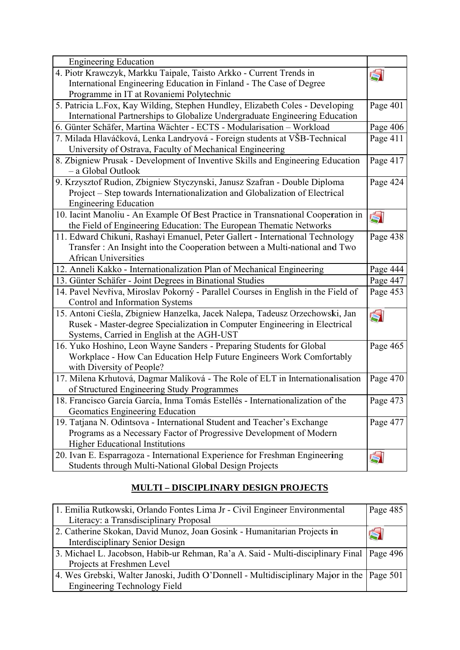| <b>Engineering Education</b>                                                      |          |
|-----------------------------------------------------------------------------------|----------|
| 4. Piotr Krawczyk, Markku Taipale, Taisto Arkko - Current Trends in               | ŚI       |
| International Engineering Education in Finland - The Case of Degree               |          |
| Programme in IT at Rovaniemi Polytechnic                                          |          |
| 5. Patricia L.Fox, Kay Wilding, Stephen Hundley, Elizabeth Coles - Developing     | Page 401 |
| International Partnerships to Globalize Undergraduate Engineering Education       |          |
| 6. Günter Schäfer, Martina Wächter - ECTS - Modularisation - Workload             | Page 406 |
| 7. Milada Hlaváčková, Lenka Landryová - Foreign students at VŠB-Technical         | Page 411 |
| University of Ostrava, Faculty of Mechanical Engineering                          |          |
| 8. Zbigniew Prusak - Development of Inventive Skills and Engineering Education    | Page 417 |
| - a Global Outlook                                                                |          |
| 9. Krzysztof Rudion, Zbigniew Styczynski, Janusz Szafran - Double Diploma         | Page 424 |
| Project - Step towards Internationalization and Globalization of Electrical       |          |
| <b>Engineering Education</b>                                                      |          |
| 10. Iacint Manoliu - An Example Of Best Practice in Transnational Cooperation in  | Ś        |
| the Field of Engineering Education: The European Thematic Networks                |          |
| 11. Edward Chikuni, Rashayi Emanuel, Peter Gallert - International Technology     | Page 438 |
| Transfer: An Insight into the Cooperation between a Multi-national and Two        |          |
| <b>African Universities</b>                                                       |          |
| 12. Anneli Kakko - Internationalization Plan of Mechanical Engineering            | Page 444 |
| 13. Günter Schäfer - Joint Degrees in Binational Studies                          | Page 447 |
| 14. Pavel Nevřiva, Miroslav Pokorný - Parallel Courses in English in the Field of | Page 453 |
| Control and Information Systems                                                   |          |
| 15. Antoni Cieśla, Zbigniew Hanzelka, Jacek Nalepa, Tadeusz Orzechowski, Jan      | Ś        |
| Rusek - Master-degree Specialization in Computer Engineering in Electrical        |          |
| Systems, Carried in English at the AGH-UST                                        |          |
| 16. Yuko Hoshino, Leon Wayne Sanders - Preparing Students for Global              | Page 465 |
| Workplace - How Can Education Help Future Engineers Work Comfortably              |          |
| with Diversity of People?                                                         |          |
| 17. Milena Krhutová, Dagmar Malíková - The Role of ELT in Internationalisation    | Page 470 |
| of Structured Engineering Study Programmes                                        |          |
| 18. Francisco García García, Inma Tomás Estellés - Internationalization of the    | Page 473 |
| Geomatics Engineering Education                                                   |          |
| 19. Tatjana N. Odintsova - International Student and Teacher's Exchange           | Page 477 |
| Programs as a Necessary Factor of Progressive Development of Modern               |          |
| <b>Higher Educational Institutions</b>                                            |          |
| 20. Ivan E. Esparragoza - International Experience for Freshman Engineering       | Ś        |
| Students through Multi-National Global Design Projects                            |          |

# **MULTI - DISCIPLINARY DESIGN PROJECTS**

| 1. Emilia Rutkowski, Orlando Fontes Lima Jr - Civil Engineer Environmental                  | Page 485 |
|---------------------------------------------------------------------------------------------|----------|
| Literacy: a Transdisciplinary Proposal                                                      |          |
| 2. Catherine Skokan, David Munoz, Joan Gosink - Humanitarian Projects in                    | 91       |
| Interdisciplinary Senior Design                                                             |          |
| 3. Michael L. Jacobson, Habib-ur Rehman, Ra'a A. Said - Multi-disciplinary Final   Page 496 |          |
| Projects at Freshmen Level                                                                  |          |
| 4. Wes Grebski, Walter Janoski, Judith O'Donnell - Multidisciplinary Major in the Page 501  |          |
| <b>Engineering Technology Field</b>                                                         |          |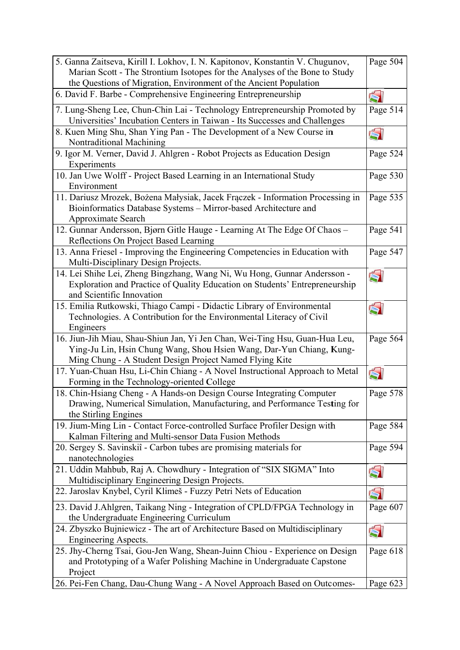| 5. Ganna Zaitseva, Kirill I. Lokhov, I. N. Kapitonov, Konstantin V. Chugunov,<br>Marian Scott - The Strontium Isotopes for the Analyses of the Bone to Study                                                   | Page 504 |
|----------------------------------------------------------------------------------------------------------------------------------------------------------------------------------------------------------------|----------|
| the Questions of Migration, Environment of the Ancient Population<br>6. David F. Barbe - Comprehensive Engineering Entrepreneurship                                                                            | 51       |
| 7. Lung-Sheng Lee, Chun-Chin Lai - Technology Entrepreneurship Promoted by<br>Universities' Incubation Centers in Taiwan - Its Successes and Challenges                                                        | Page 514 |
| 8. Kuen Ming Shu, Shan Ying Pan - The Development of a New Course in<br>Nontraditional Machining                                                                                                               | Ś        |
| 9. Igor M. Verner, David J. Ahlgren - Robot Projects as Education Design<br>Experiments                                                                                                                        | Page 524 |
| 10. Jan Uwe Wolff - Project Based Learning in an International Study<br>Environment                                                                                                                            | Page 530 |
| 11. Dariusz Mrozek, Bożena Małysiak, Jacek Frączek - Information Processing in<br>Bioinformatics Database Systems - Mirror-based Architecture and<br>Approximate Search                                        | Page 535 |
| 12. Gunnar Andersson, Bjørn Gitle Hauge - Learning At The Edge Of Chaos -<br>Reflections On Project Based Learning                                                                                             | Page 541 |
| 13. Anna Friesel - Improving the Engineering Competencies in Education with<br>Multi-Disciplinary Design Projects.                                                                                             | Page 547 |
| 14. Lei Shihe Lei, Zheng Bingzhang, Wang Ni, Wu Hong, Gunnar Andersson -<br>Exploration and Practice of Quality Education on Students' Entrepreneurship<br>and Scientific Innovation                           | Ś        |
| 15. Emilia Rutkowski, Thiago Campi - Didactic Library of Environmental<br>Technologies. A Contribution for the Environmental Literacy of Civil<br>Engineers                                                    | É.       |
| 16. Jiun-Jih Miau, Shau-Shiun Jan, Yi Jen Chan, Wei-Ting Hsu, Guan-Hua Leu,<br>Ying-Ju Lin, Hsin Chung Wang, Shou Hsien Wang, Dar-Yun Chiang, Kung-<br>Ming Chung - A Student Design Project Named Flying Kite | Page 564 |
| 17. Yuan-Chuan Hsu, Li-Chin Chiang - A Novel Instructional Approach to Metal<br>Forming in the Technology-oriented College                                                                                     | Š.       |
| 18. Chin-Hsiang Cheng - A Hands-on Design Course Integrating Computer<br>Drawing, Numerical Simulation, Manufacturing, and Performance Testing for<br>the Stirling Engines                                     | Page 578 |
| 19. Jium-Ming Lin - Contact Force-controlled Surface Profiler Design with<br>Kalman Filtering and Multi-sensor Data Fusion Methods                                                                             | Page 584 |
| 20. Sergey S. Savinskiî - Carbon tubes are promising materials for<br>nanotechnologies                                                                                                                         | Page 594 |
| 21. Uddin Mahbub, Raj A. Chowdhury - Integration of "SIX SIGMA" Into<br>Multidisciplinary Engineering Design Projects.                                                                                         | 5        |
| 22. Jaroslav Knybel, Cyril Klimeš - Fuzzy Petri Nets of Education                                                                                                                                              | ŚI       |
| 23. David J.Ahlgren, Taikang Ning - Integration of CPLD/FPGA Technology in<br>the Undergraduate Engineering Curriculum                                                                                         | Page 607 |
| 24. Zbyszko Bujniewicz - The art of Architecture Based on Multidisciplinary<br>Engineering Aspects.                                                                                                            | Ś        |
| 25. Jhy-Cherng Tsai, Gou-Jen Wang, Shean-Juinn Chiou - Experience on Design<br>and Prototyping of a Wafer Polishing Machine in Undergraduate Capstone<br>Project                                               | Page 618 |
| 26. Pei-Fen Chang, Dau-Chung Wang - A Novel Approach Based on Outcomes-                                                                                                                                        | Page 623 |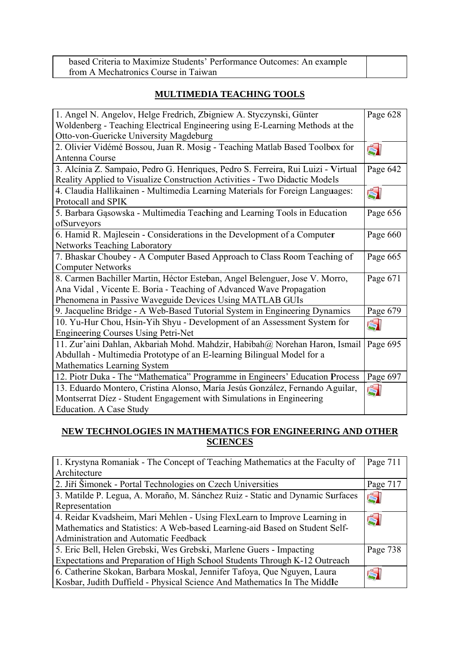| based Criteria to Maximize Students' Performance Outcomes: An example |  |
|-----------------------------------------------------------------------|--|
| from A Mechatronics Course in Taiwan                                  |  |

## **MULTIMEDIA TEACHING TOOLS**

| 1. Angel N. Angelov, Helge Fredrich, Zbigniew A. Styczynski, Günter               | Page 628 |
|-----------------------------------------------------------------------------------|----------|
| Woldenberg - Teaching Electrical Engineering using E-Learning Methods at the      |          |
| Otto-von-Guericke University Magdeburg                                            |          |
| 2. Olivier Vidémé Bossou, Juan R. Mosig - Teaching Matlab Based Toolbox for       | ŚÌ       |
| Antenna Course                                                                    |          |
| 3. Alcínia Z. Sampaio, Pedro G. Henriques, Pedro S. Ferreira, Rui Luizi - Virtual | Page 642 |
| Reality Applied to Visualize Construction Activities - Two Didactic Models        |          |
| 4. Claudia Hallikainen - Multimedia Learning Materials for Foreign Languages:     | $\leq$   |
| Protocall and SPIK                                                                |          |
| 5. Barbara Gąsowska - Multimedia Teaching and Learning Tools in Education         | Page 656 |
| ofSurveyors                                                                       |          |
| 6. Hamid R. Majlesein - Considerations in the Development of a Computer           | Page 660 |
| <b>Networks Teaching Laboratory</b>                                               |          |
| 7. Bhaskar Choubey - A Computer Based Approach to Class Room Teaching of          | Page 665 |
| <b>Computer Networks</b>                                                          |          |
| 8. Carmen Bachiller Martin, Héctor Esteban, Angel Belenguer, Jose V. Morro,       | Page 671 |
| Ana Vidal, Vicente E. Boria - Teaching of Advanced Wave Propagation               |          |
| Phenomena in Passive Waveguide Devices Using MATLAB GUIs                          |          |
| 9. Jacqueline Bridge - A Web-Based Tutorial System in Engineering Dynamics        | Page 679 |
| 10. Yu-Hur Chou, Hsin-Yih Shyu - Development of an Assessment System for          | ŚI       |
| <b>Engineering Courses Using Petri-Net</b>                                        |          |
| 11. Zur'aini Dahlan, Akbariah Mohd. Mahdzir, Habibah@ Norehan Haron, Ismail       | Page 695 |
| Abdullah - Multimedia Prototype of an E-learning Bilingual Model for a            |          |
| <b>Mathematics Learning System</b>                                                |          |
| 12. Piotr Duka - The "Mathematica" Programme in Engineers' Education Process      | Page 697 |
| 13. Eduardo Montero, Cristina Alonso, María Jesús González, Fernando Aguilar,     | ŚI       |
| Montserrat Diez - Student Engagement with Simulations in Engineering              |          |
| <b>Education. A Case Study</b>                                                    |          |

#### NEW TECHNOLOGIES IN MATHEMATICS FOR ENGINEERING AND OTHER **SCIENCES**

| 1. Krystyna Romaniak - The Concept of Teaching Mathematics at the Faculty of  | Page 711 |
|-------------------------------------------------------------------------------|----------|
| Architecture                                                                  |          |
| 2. Jiří Šimonek - Portal Technologies on Czech Universities                   | Page 717 |
| 3. Matilde P. Legua, A. Moraño, M. Sánchez Ruiz - Static and Dynamic Surfaces | Ś        |
| Representation                                                                |          |
| 4. Reidar Kvadsheim, Mari Mehlen - Using FlexLearn to Improve Learning in     |          |
| Mathematics and Statistics: A Web-based Learning-aid Based on Student Self-   |          |
| Administration and Automatic Feedback                                         |          |
| 5. Eric Bell, Helen Grebski, Wes Grebski, Marlene Guers - Impacting           | Page 738 |
| Expectations and Preparation of High School Students Through K-12 Outreach    |          |
| 6. Catherine Skokan, Barbara Moskal, Jennifer Tafoya, Que Nguyen, Laura       |          |
| Kosbar, Judith Duffield - Physical Science And Mathematics In The Middle      |          |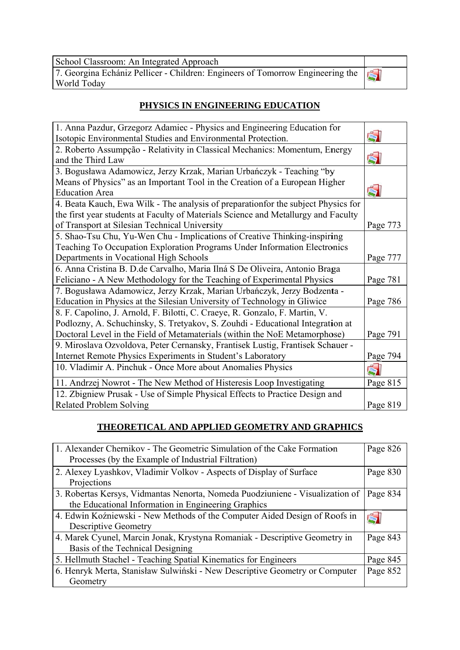School Classroom: An Integrated Approach<br>7. Georgina Echániz Pellicer - Children: Engineers of Tomorrow Engineering the World Today

# S)

# PHYSICS IN ENGINEERING EDUCATION

| 1. Anna Pazdur, Grzegorz Adamiec - Physics and Engineering Education for           |          |
|------------------------------------------------------------------------------------|----------|
| Isotopic Environmental Studies and Environmental Protection.                       | ŚI       |
| 2. Roberto Assumpção - Relativity in Classical Mechanics: Momentum, Energy         |          |
| and the Third Law                                                                  | Ś        |
| 3. Bogusława Adamowicz, Jerzy Krzak, Marian Urbańczyk - Teaching "by               |          |
| Means of Physics" as an Important Tool in the Creation of a European Higher        |          |
| <b>Education Area</b>                                                              | 51       |
| 4. Beata Kauch, Ewa Wilk - The analysis of preparation for the subject Physics for |          |
| the first year students at Faculty of Materials Science and Metallurgy and Faculty |          |
| of Transport at Silesian Technical University                                      | Page 773 |
| 5. Shao-Tsu Chu, Yu-Wen Chu - Implications of Creative Thinking-inspiring          |          |
| Teaching To Occupation Exploration Programs Under Information Electronics          |          |
| Departments in Vocational High Schools                                             | Page 777 |
| 6. Anna Cristina B. D. de Carvalho, Maria Ilná S De Oliveira, Antonio Braga        |          |
| Feliciano - A New Methodology for the Teaching of Experimental Physics             | Page 781 |
| 7. Bogusława Adamowicz, Jerzy Krzak, Marian Urbańczyk, Jerzy Bodzenta -            |          |
| Education in Physics at the Silesian University of Technology in Gliwice           | Page 786 |
| 8. F. Capolino, J. Arnold, F. Bilotti, C. Craeye, R. Gonzalo, F. Martin, V.        |          |
| Podlozny, A. Schuchinsky, S. Tretyakov, S. Zouhdi - Educational Integration at     |          |
| Doctoral Level in the Field of Metamaterials (within the NoE Metamorphose)         | Page 791 |
| 9. Miroslava Ozvoldova, Peter Cernansky, Frantisek Lustig, Frantisek Schauer -     |          |
| Internet Remote Physics Experiments in Student's Laboratory                        | Page 794 |
| 10. Vladimir A. Pinchuk - Once More about Anomalies Physics                        | $\leq$   |
| 11. Andrzej Nowrot - The New Method of Histeresis Loop Investigating               | Page 815 |
| 12. Zbigniew Prusak - Use of Simple Physical Effects to Practice Design and        |          |
| <b>Related Problem Solving</b>                                                     | Page 819 |

# THEORETICAL AND APPLIED GEOMETRY AND GRAPHICS

| 1. Alexander Chernikov - The Geometric Simulation of the Cake Formation<br>Processes (by the Example of Industrial Filtration)       | Page 826              |
|--------------------------------------------------------------------------------------------------------------------------------------|-----------------------|
| 2. Alexey Lyashkov, Vladimir Volkov - Aspects of Display of Surface<br>Projections                                                   | Page 830              |
| 3. Robertas Kersys, Vidmantas Nenorta, Nomeda Puodziuniene - Visualization of<br>the Educational Information in Engineering Graphics | Page 834              |
| 4. Edwin Koźniewski - New Methods of the Computer Aided Design of Roofs in<br><b>Descriptive Geometry</b>                            | $\Longleftrightarrow$ |
| 4. Marek Cyunel, Marcin Jonak, Krystyna Romaniak - Descriptive Geometry in<br>Basis of the Technical Designing                       | Page 843              |
| 5. Hellmuth Stachel - Teaching Spatial Kinematics for Engineers                                                                      | Page 845              |
| 6. Henryk Merta, Stanisław Sulwiński - New Descriptive Geometry or Computer<br>Geometry                                              | Page 852              |